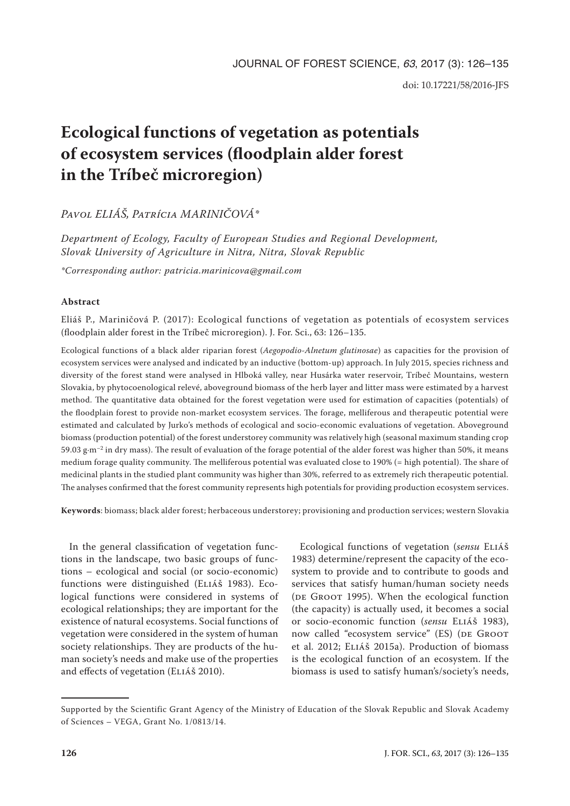# **Ecological functions of vegetation as potentials of ecosystem services (floodplain alder forest in the Tríbeč microregion)**

*Pavol ELIÁŠ, Patrícia MARINIČOVÁ\**

*Department of Ecology, Faculty of European Studies and Regional Development, Slovak University of Agriculture in Nitra, Nitra, Slovak Republic*

*\*Corresponding author: patricia.marinicova@gmail.com*

# **Abstract**

Eliáš P., Mariničová P. (2017): Ecological functions of vegetation as potentials of ecosystem services (floodplain alder forest in the Tríbeč microregion). J. For. Sci., 63: 126–135.

Ecological functions of a black alder riparian forest (*Aegopodio*-*Alnetum glutinosae*) as capacities for the provision of ecosystem services were analysed and indicated by an inductive (bottom-up) approach. In July 2015, species richness and diversity of the forest stand were analysed in Hlboká valley, near Husárka water reservoir, Tríbeč Mountains, western Slovakia, by phytocoenological relevé, aboveground biomass of the herb layer and litter mass were estimated by a harvest method. The quantitative data obtained for the forest vegetation were used for estimation of capacities (potentials) of the floodplain forest to provide non-market ecosystem services. The forage, melliferous and therapeutic potential were estimated and calculated by Jurko's methods of ecological and socio-economic evaluations of vegetation. Aboveground biomass (production potential) of the forest understorey community was relatively high (seasonal maximum standing crop 59.03 g·m<sup>-2</sup> in dry mass). The result of evaluation of the forage potential of the alder forest was higher than 50%, it means medium forage quality community. The melliferous potential was evaluated close to 190% (= high potential). The share of medicinal plants in the studied plant community was higher than 30%, referred to as extremely rich therapeutic potential. The analyses confirmed that the forest community represents high potentials for providing production ecosystem services.

**Keywords**: biomass; black alder forest; herbaceous understorey; provisioning and production services; western Slovakia

In the general classification of vegetation functions in the landscape, two basic groups of functions – ecological and social (or socio-economic) functions were distinguished (ELIÁŠ 1983). Ecological functions were considered in systems of ecological relationships; they are important for the existence of natural ecosystems. Social functions of vegetation were considered in the system of human society relationships. They are products of the human society's needs and make use of the properties and effects of vegetation (Eliáš 2010).

Ecological functions of vegetation (*sensu* Eliáš 1983) determine/represent the capacity of the ecosystem to provide and to contribute to goods and services that satisfy human/human society needs (DE GROOT 1995). When the ecological function (the capacity) is actually used, it becomes a social or socio-economic function (*sensu* Eliáš 1983), now called "ecosystem service" (ES) (DE GROOT et al. 2012; Eliáš 2015a). Production of biomass is the ecological function of an ecosystem. If the biomass is used to satisfy human's/society's needs,

Supported by the Scientific Grant Agency of the Ministry of Education of the Slovak Republic and Slovak Academy of Sciences – VEGA, Grant No. 1/0813/14.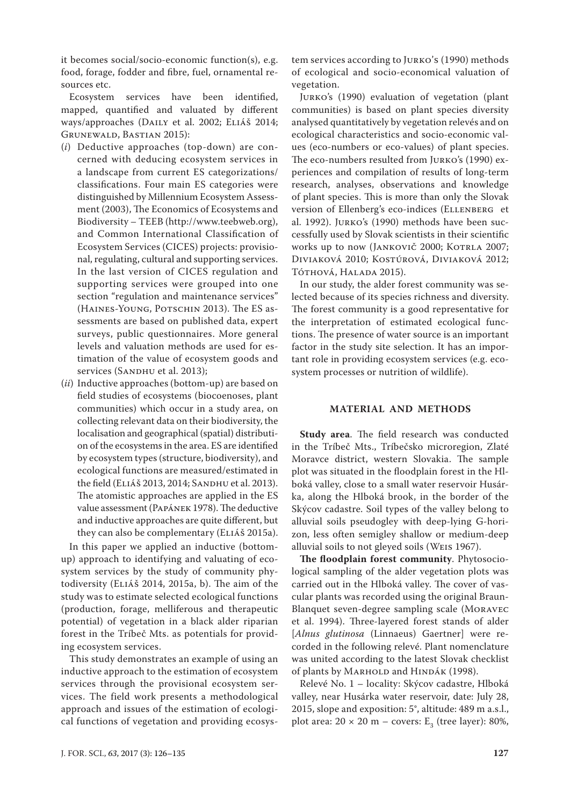it becomes social/socio-economic function(s), e.g. food, forage, fodder and fibre, fuel, ornamental resources etc.

Ecosystem services have been identified, mapped, quantified and valuated by different ways/approaches (Daily et al. 2002; Eliáš 2014; Grunewald, Bastian 2015):

- (*i*) Deductive approaches (top-down) are concerned with deducing ecosystem services in a landscape from current ES categorizations/ classifications. Four main ES categories were distinguished by Millennium Ecosystem Assessment (2003), The Economics of Ecosystems and Biodiversity – TEEB (http://www.teebweb.org), and Common International Classification of Ecosystem Services (CICES) projects: provisional, regulating, cultural and supporting services. In the last version of CICES regulation and supporting services were grouped into one section "regulation and maintenance services" (Haines-Young, Potschin 2013). The ES assessments are based on published data, expert surveys, public questionnaires. More general levels and valuation methods are used for estimation of the value of ecosystem goods and services (SANDHU et al. 2013);
- (*ii*) Inductive approaches (bottom-up) are based on field studies of ecosystems (biocoenoses, plant communities) which occur in a study area, on collecting relevant data on their biodiversity, the localisation and geographical (spatial) distribution of the ecosystems in the area. ES are identified by ecosystem types (structure, biodiversity), and ecological functions are measured/estimated in the field (Eliáš 2013, 2014; Sandhu et al. 2013). The atomistic approaches are applied in the ES value assessment (Papánek 1978). The deductive and inductive approaches are quite different, but they can also be complementary (ELIÁŠ 2015a).

In this paper we applied an inductive (bottomup) approach to identifying and valuating of ecosystem services by the study of community phytodiversity (Eliáš 2014, 2015a, b). The aim of the study was to estimate selected ecological functions (production, forage, melliferous and therapeutic potential) of vegetation in a black alder riparian forest in the Tríbeč Mts. as potentials for providing ecosystem services.

This study demonstrates an example of using an inductive approach to the estimation of ecosystem services through the provisional ecosystem services. The field work presents a methodological approach and issues of the estimation of ecological functions of vegetation and providing ecosys-

tem services according to Jurko's (1990) methods of ecological and socio-economical valuation of vegetation.

Jurko's (1990) evaluation of vegetation (plant communities) is based on plant species diversity analysed quantitatively by vegetation relevés and on ecological characteristics and socio-economic values (eco-numbers or eco-values) of plant species. The eco-numbers resulted from Jurko's (1990) experiences and compilation of results of long-term research, analyses, observations and knowledge of plant species. This is more than only the Slovak version of Ellenberg's eco-indices (Ellenberg et al. 1992). Jurko's (1990) methods have been successfully used by Slovak scientists in their scientific works up to now (JANKOVIČ 2000; KOTRLA 2007; Diviaková 2010; Kostúrová, Diviaková 2012; Tóthová, Halada 2015).

In our study, the alder forest community was selected because of its species richness and diversity. The forest community is a good representative for the interpretation of estimated ecological functions. The presence of water source is an important factor in the study site selection. It has an important role in providing ecosystem services (e.g. ecosystem processes or nutrition of wildlife).

### **MATERIAL AND METHODS**

**Study area**. The field research was conducted in the Tríbeč Mts., Tríbečsko microregion, Zlaté Moravce district, western Slovakia. The sample plot was situated in the floodplain forest in the Hlboká valley, close to a small water reservoir Husárka, along the Hlboká brook, in the border of the Skýcov cadastre. Soil types of the valley belong to alluvial soils pseudogley with deep-lying G-horizon, less often semigley shallow or medium-deep alluvial soils to not gleyed soils (Weis 1967).

**The floodplain forest community**. Phytosociological sampling of the alder vegetation plots was carried out in the Hlboká valley. The cover of vascular plants was recorded using the original Braun-Blanquet seven-degree sampling scale (Moravec et al. 1994). Three-layered forest stands of alder [*Alnus glutinosa* (Linnaeus) Gaertner] were recorded in the following relevé. Plant nomenclature was united according to the latest Slovak checklist of plants by MARHOLD and HINDÁK (1998).

Relevé No. 1 – locality: Skýcov cadastre, Hlboká valley, near Husárka water reservoir, date: July 28, 2015, slope and exposition: 5°, altitude: 489 m a.s.l., plot area:  $20 \times 20$  m – covers:  $E_3$  (tree layer): 80%,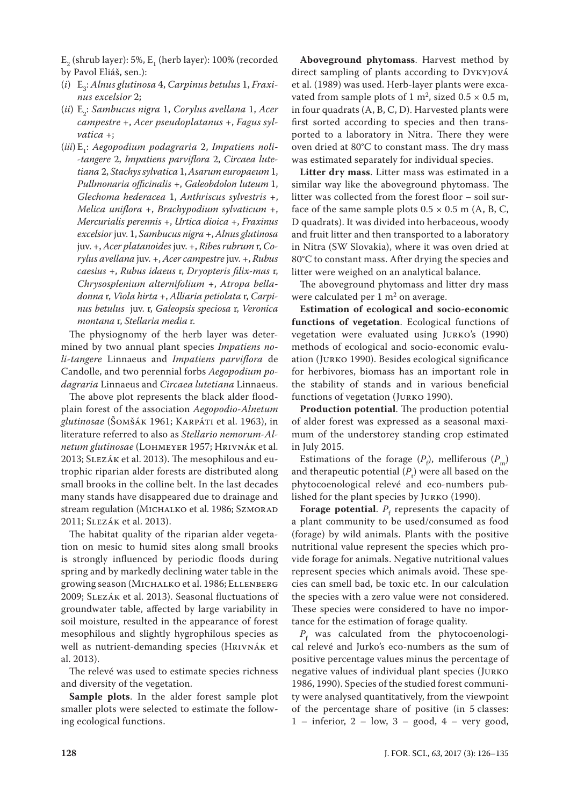$E_2$  (shrub layer): 5%,  $E_1$  (herb layer): 100% (recorded by Pavol Eliáš, sen.):

- (*i*) E3 : *Alnus glutinosa* 4, *Carpinus betulus* 1, *Fraxinus excelsior* 2;
- (*ii*) E2 : *Sambucus nigra* 1, *Corylus avellana* 1, *Acer campestre* +, *Acer pseudoplatanus* +, *Fagus sylvatica* +;
- (*iii*) E1 : *Aegopodium podagraria* 2, *Impatiens noli- -tangere* 2, *Impatiens parviflora* 2, *Circaea lutetiana* 2, *Stachys sylvatica* 1, *Asarum europaeum* 1, *Pullmonaria officinalis* +, *Galeobdolon luteum* 1, *Glechoma hederacea* 1, *Anthriscus sylvestris* +, *Melica uniflora* +, *Brachypodium sylvaticum* +, *Mercurialis perennis* +, *Urtica dioica* +, *Fraxinus excelsior* juv. 1, *Sambucus nigra* +, *Alnus glutinosa*  juv. +, *Acer platanoides* juv. +, *Ribes rubrum* r, *Corylus avellana* juv. +, *Acer campestre* juv. +, *Rubus caesius* +, *Rubus idaeus* r, *Dryopteris filix*-*mas* r, *Chrysosplenium alternifolium* +, *Atropa belladonna* r, *Viola hirta* +, *Alliaria petiolata* r, *Carpinus betulus* juv. r, *Galeopsis speciosa* r, *Veronica montana* r, *Stellaria media* r.

The physiognomy of the herb layer was determined by two annual plant species *Impatiens noli*-*tangere* Linnaeus and *Impatiens parviflora* de Candolle, and two perennial forbs *Aegopodium podagraria* Linnaeus and *Circaea lutetiana* Linnaeus.

The above plot represents the black alder floodplain forest of the association *Aegopodio*-*Alnetum glutinosae* (Šomšák 1961; Karpáti et al. 1963), in literature referred to also as *Stellario nemorum*-*Alnetum glutinosae* (Lohmeyer 1957; Hrivnák et al. 2013; Slezák et al. 2013). The mesophilous and eutrophic riparian alder forests are distributed along small brooks in the colline belt. In the last decades many stands have disappeared due to drainage and stream regulation (MICHALKO et al. 1986; SZMORAD 2011; Slezák et al. 2013).

The habitat quality of the riparian alder vegetation on mesic to humid sites along small brooks is strongly influenced by periodic floods during spring and by markedly declining water table in the growing season (Michalko et al. 1986; Ellenberg 2009; Slezák et al. 2013). Seasonal fluctuations of groundwater table, affected by large variability in soil moisture, resulted in the appearance of forest mesophilous and slightly hygrophilous species as well as nutrient-demanding species (Hrivnák et al. 2013).

The relevé was used to estimate species richness and diversity of the vegetation.

**Sample plots**. In the alder forest sample plot smaller plots were selected to estimate the following ecological functions.

**Aboveground phytomass**. Harvest method by direct sampling of plants according to Dykyjová et al. (1989) was used. Herb-layer plants were excavated from sample plots of 1 m<sup>2</sup>, sized  $0.5 \times 0.5$  m, in four quadrats (A, B, C, D). Harvested plants were first sorted according to species and then transported to a laboratory in Nitra. There they were oven dried at 80°C to constant mass. The dry mass was estimated separately for individual species.

**Litter dry mass**. Litter mass was estimated in a similar way like the aboveground phytomass. The litter was collected from the forest floor – soil surface of the same sample plots  $0.5 \times 0.5$  m (A, B, C, D quadrats). It was divided into herbaceous, woody and fruit litter and then transported to a laboratory in Nitra (SW Slovakia), where it was oven dried at 80°C to constant mass. After drying the species and litter were weighed on an analytical balance.

The aboveground phytomass and litter dry mass were calculated per  $1 \text{ m}^2$  on average.

**Estimation of ecological and socio-economic functions of vegetation**. Ecological functions of vegetation were evaluated using Jurko's (1990) methods of ecological and socio-economic evaluation (Jurko 1990). Besides ecological significance for herbivores, biomass has an important role in the stability of stands and in various beneficial functions of vegetation (Jurko 1990).

**Production potential**. The production potential of alder forest was expressed as a seasonal maximum of the understorey standing crop estimated in July 2015.

Estimations of the forage  $(P_f)$ , melliferous  $(P_m)$ and therapeutic potential  $(P_t)$  were all based on the phytocoenological relevé and eco-numbers published for the plant species by Jurko (1990).

**Forage potential.**  $P_f$  represents the capacity of a plant community to be used/consumed as food (forage) by wild animals. Plants with the positive nutritional value represent the species which provide forage for animals. Negative nutritional values represent species which animals avoid. These species can smell bad, be toxic etc. In our calculation the species with a zero value were not considered. These species were considered to have no importance for the estimation of forage quality.

 $P_{\rm f}$  was calculated from the phytocoenological relevé and Jurko's eco-numbers as the sum of positive percentage values minus the percentage of negative values of individual plant species (Jurko 1986, 1990). Species of the studied forest community were analysed quantitatively, from the viewpoint of the percentage share of positive (in 5 classes:  $1$  – inferior,  $2$  – low,  $3$  – good,  $4$  – very good,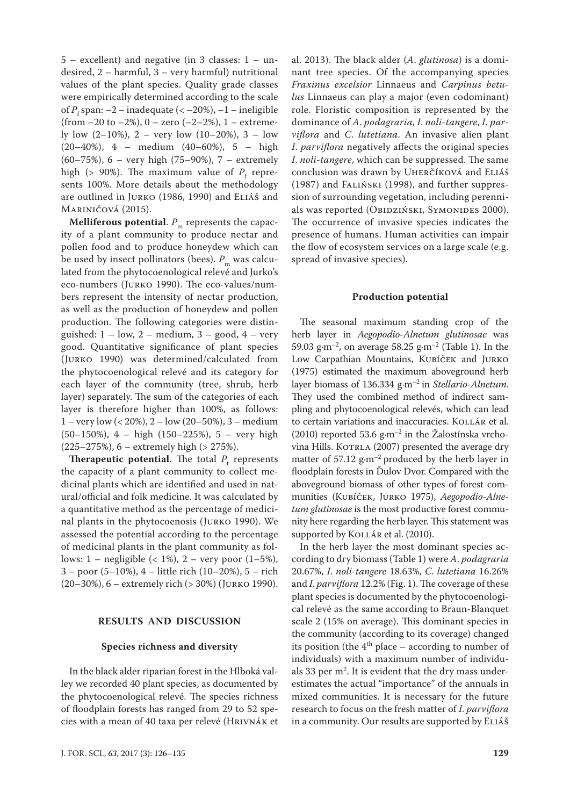5 – excellent) and negative (in 3 classes: 1 – undesired, 2 – harmful, 3 – very harmful) nutritional values of the plant species. Quality grade classes were empirically determined according to the scale of  $P_f$  span:  $-2$  – inadequate (<  $-20\%$ ),  $-1$  – ineligible (from  $-20$  to  $-2\%$ ),  $0 -$  zero  $(-2-2\%)$ ,  $1 -$  extremely low  $(2-10\%)$ , 2 – very low  $(10-20\%)$ , 3 – low (20–40%), 4 – medium (40–60%), 5 – high (60–75%), 6 – very high (75–90%), 7 – extremely high (>  $90\%$ ). The maximum value of  $P_f$  represents 100%. More details about the methodology are outlined in Jurko (1986, 1990) and Eliáš and Mariničová (2015).

**Melliferous potential.**  $P_m$  represents the capacity of a plant community to produce nectar and pollen food and to produce honeydew which can be used by insect pollinators (bees).  $P_{\text{m}}$  was calculated from the phytocoenological relevé and Jurko's eco-numbers (Jurko 1990). The eco-values/numbers represent the intensity of nectar production, as well as the production of honeydew and pollen production. The following categories were distinguished:  $1 - low$ ,  $2 - medium$ ,  $3 - good$ ,  $4 - very$ good. Quantitative significance of plant species (Jurko 1990) was determined/calculated from the phytocoenological relevé and its category for each layer of the community (tree, shrub, herb layer) separately. The sum of the categories of each layer is therefore higher than 100%, as follows: 1 – very low (< 20%), 2 – low (20–50%), 3 – medium (50–150%), 4 – high (150–225%), 5 – very high (225–275%), 6 – extremely high (> 275%).

**Therapeutic potential.** The total  $P_t$  represents the capacity of a plant community to collect medicinal plants which are identified and used in natural/official and folk medicine. It was calculated by a quantitative method as the percentage of medicinal plants in the phytocoenosis (Jurko 1990). We assessed the potential according to the percentage of medicinal plants in the plant community as follows:  $1 - \text{negligible}$  (< 1%),  $2 - \text{very poor}$  (1–5%), 3 – poor (5–10%), 4 – little rich (10–20%), 5 – rich (20–30%), 6 – extremely rich (> 30%) (Jurko 1990).

### **RESULTS AND DISCUSSION**

#### **Species richness and diversity**

In the black alder riparian forest in the Hlboká valley we recorded 40 plant species, as documented by the phytocoenological relevé. The species richness of floodplain forests has ranged from 29 to 52 species with a mean of 40 taxa per relevé (Hrivnák et

al. 2013). The black alder (*A*. *glutinosa*) is a dominant tree species. Of the accompanying species *Fraxinus excelsior* Linnaeus and *Carpinus betulus* Linnaeus can play a major (even codominant) role. Floristic composition is represented by the dominance of *A*. *podagraria*, *I*. *noli*-*tangere*, *I*. *parviflora* and *C*. *lutetiana*. An invasive alien plant *I*. *parviflora* negatively affects the original species *I*. *noli-tangere*, which can be suppressed. The same conclusion was drawn by Uherčíková and Eliáš (1987) and Faliński (1998), and further suppression of surrounding vegetation, including perennials was reported (OBIDZIŃSKI, SYMONIDES 2000). The occurrence of invasive species indicates the presence of humans. Human activities can impair the flow of ecosystem services on a large scale (e.g. spread of invasive species).

#### **Production potential**

The seasonal maximum standing crop of the herb layer in *Aegopodio*-*Alnetum glutinosae* was 59.03 g·m<sup>-2</sup>, on average 58.25 g·m<sup>-2</sup> (Table 1). In the Low Carpathian Mountains, Kubíček and Jurko (1975) estimated the maximum aboveground herb layer biomass of 136.334 g·m–2 in *Stellario*-*Alnetum*. They used the combined method of indirect sampling and phytocoenological relevés, which can lead to certain variations and inaccuracies. KOLLÁR et al. (2010) reported 53.6  $g·m<sup>-2</sup>$  in the Žalostínska vrchovina Hills. KOTRLA (2007) presented the average dry matter of  $57.12$  g·m<sup>-2</sup> produced by the herb layer in floodplain forests in Ďulov Dvor. Compared with the aboveground biomass of other types of forest communities (Kubíček, Jurko 1975), *Aegopodio*-*Alnetum glutinosae* is the most productive forest community here regarding the herb layer. This statement was supported by KOLLÁR et al. (2010).

In the herb layer the most dominant species according to dry biomass (Table 1) were *A*. *podagraria*  20.67%, *I*. *noli-tangere* 18.63%, *C*. *lutetiana* 16.26% and *I*. *parviflora* 12.2% (Fig. 1). The coverage of these plant species is documented by the phytocoenological relevé as the same according to Braun-Blanquet scale 2 (15% on average). This dominant species in the community (according to its coverage) changed its position (the  $4<sup>th</sup>$  place – according to number of individuals) with a maximum number of individuals 33 per  $m^2$ . It is evident that the dry mass underestimates the actual "importance" of the annuals in mixed communities. It is necessary for the future research to focus on the fresh matter of *I*. *parviflora* in a community. Our results are supported by ELIÁŠ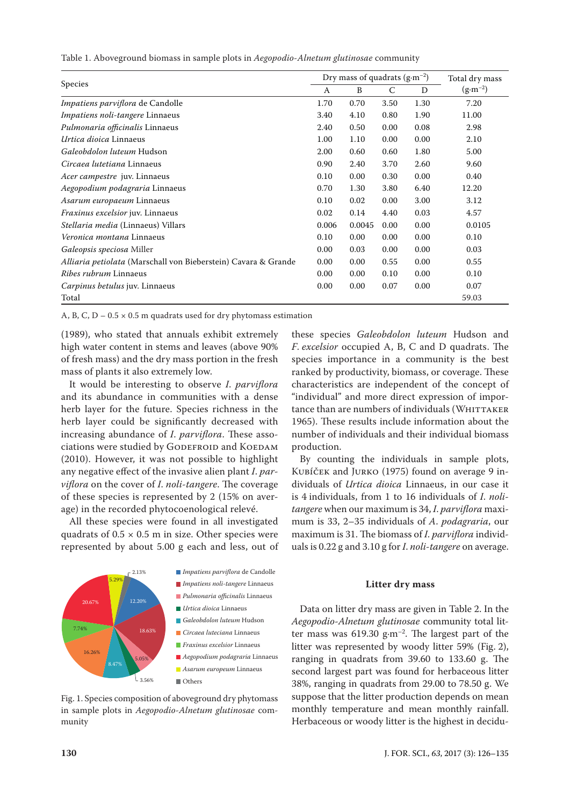| Table 1. Aboveground biomass in sample plots in Aegopodio-Alnetum glutinosae community |  |  |  |  |
|----------------------------------------------------------------------------------------|--|--|--|--|
|----------------------------------------------------------------------------------------|--|--|--|--|

|                                                                | Dry mass of quadrats $(g \cdot m^{-2})$ |        |      |      | Total dry mass     |
|----------------------------------------------------------------|-----------------------------------------|--------|------|------|--------------------|
| Species                                                        | A                                       | B      | C    | D    | $(g \cdot m^{-2})$ |
| Impatiens parviflora de Candolle                               | 1.70                                    | 0.70   | 3.50 | 1.30 | 7.20               |
| <i>Impatiens noli-tangere Linnaeus</i>                         | 3.40                                    | 4.10   | 0.80 | 1.90 | 11.00              |
| Pulmonaria officinalis Linnaeus                                | 2.40                                    | 0.50   | 0.00 | 0.08 | 2.98               |
| Urtica dioica Linnaeus                                         | 1.00                                    | 1.10   | 0.00 | 0.00 | 2.10               |
| Galeobdolon luteum Hudson                                      | 2.00                                    | 0.60   | 0.60 | 1.80 | 5.00               |
| Circaea lutetiana Linnaeus                                     | 0.90                                    | 2.40   | 3.70 | 2.60 | 9.60               |
| Acer campestre juv. Linnaeus                                   | 0.10                                    | 0.00   | 0.30 | 0.00 | 0.40               |
| Aegopodium podagraria Linnaeus                                 | 0.70                                    | 1.30   | 3.80 | 6.40 | 12.20              |
| Asarum europaeum Linnaeus                                      | 0.10                                    | 0.02   | 0.00 | 3.00 | 3.12               |
| <i>Fraxinus excelsior</i> juv. Linnaeus                        | 0.02                                    | 0.14   | 4.40 | 0.03 | 4.57               |
| Stellaria media (Linnaeus) Villars                             | 0.006                                   | 0.0045 | 0.00 | 0.00 | 0.0105             |
| Veronica montana Linnaeus                                      | 0.10                                    | 0.00   | 0.00 | 0.00 | 0.10               |
| Galeopsis speciosa Miller                                      | 0.00                                    | 0.03   | 0.00 | 0.00 | 0.03               |
| Alliaria petiolata (Marschall von Bieberstein) Cavara & Grande | 0.00                                    | 0.00   | 0.55 | 0.00 | 0.55               |
| <i>Ribes rubrum</i> Linnaeus                                   | 0.00                                    | 0.00   | 0.10 | 0.00 | 0.10               |
| <i>Carpinus betulus</i> juv. Linnaeus                          | 0.00                                    | 0.00   | 0.07 | 0.00 | 0.07               |
| Total                                                          |                                         |        |      |      | 59.03              |

A, B, C,  $D - 0.5 \times 0.5$  m quadrats used for dry phytomass estimation

(1989), who stated that annuals exhibit extremely high water content in stems and leaves (above 90% of fresh mass) and the dry mass portion in the fresh mass of plants it also extremely low.

It would be interesting to observe *I*. *parviflora* and its abundance in communities with a dense herb layer for the future. Species richness in the herb layer could be significantly decreased with increasing abundance of *I*. *parviflora*. These associations were studied by GODEFROID and KOEDAM (2010). However, it was not possible to highlight any negative effect of the invasive alien plant *I*. *parviflora* on the cover of *I*. *noli*-*tangere*. The coverage of these species is represented by 2 (15% on average) in the recorded phytocoenological relevé.

All these species were found in all investigated quadrats of  $0.5 \times 0.5$  m in size. Other species were represented by about 5.00 g each and less, out of



Fig. 1. Species composition of aboveground dry phytomass in sample plots in *Aegopodio*-*Alnetum glutinosae* community

these species *Galeobdolon luteum* Hudson and *F*. *excelsior* occupied A, B, C and D quadrats. The species importance in a community is the best ranked by productivity, biomass, or coverage. These characteristics are independent of the concept of "individual" and more direct expression of importance than are numbers of individuals (WHITTAKER 1965). These results include information about the number of individuals and their individual biomass production.

By counting the individuals in sample plots, Kubíček and Jurko (1975) found on average 9 individuals of *Urtica dioica* Linnaeus, in our case it is 4 individuals, from 1 to 16 individuals of *I*. *nolitangere* when our maximum is 34, *I*. *parviflora* maximum is 33, 2–35 individuals of *A*. *podagraria*, our maximum is 31. The biomass of *I*. *parviflora* individuals is 0.22 g and 3.10 g for *I*. *noli*-*tangere* on average.

# **Litter dry mass**

Data on litter dry mass are given in Table 2. In the *Aegopodio*-*Alnetum glutinosae* community total litter mass was  $619.30 \text{ g} \cdot \text{m}^{-2}$ . The largest part of the litter was represented by woody litter 59% (Fig. 2), ranging in quadrats from 39.60 to 133.60 g. The second largest part was found for herbaceous litter 38%, ranging in quadrats from 29.00 to 78.50 g. We suppose that the litter production depends on mean monthly temperature and mean monthly rainfall. Herbaceous or woody litter is the highest in decidu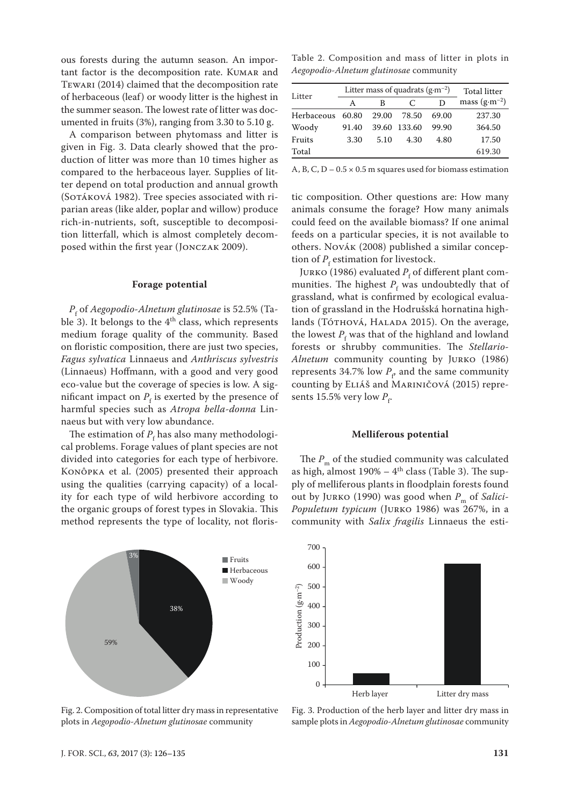ous forests during the autumn season. An important factor is the decomposition rate. KUMAR and Tewari (2014) claimed that the decomposition rate of herbaceous (leaf) or woody litter is the highest in the summer season. The lowest rate of litter was documented in fruits (3%), ranging from 3.30 to 5.10 g.

A comparison between phytomass and litter is given in Fig. 3. Data clearly showed that the production of litter was more than 10 times higher as compared to the herbaceous layer. Supplies of litter depend on total production and annual growth (Sotáková 1982). Tree species associated with riparian areas (like alder, poplar and willow) produce rich-in-nutrients, soft, susceptible to decomposition litterfall, which is almost completely decomposed within the first year (Jonczak 2009).

#### **Forage potential**

*P*f of *Aegopodio*-*Alnetum glutinosae* is 52.5% (Table 3). It belongs to the  $4<sup>th</sup>$  class, which represents medium forage quality of the community. Based on floristic composition, there are just two species, *Fagus sylvatica* Linnaeus and *Anthriscus sylvestris*  (Linnaeus) Hoffmann, with a good and very good eco-value but the coverage of species is low. A significant impact on  $P_f$  is exerted by the presence of harmful species such as *Atropa bella*-*donna* Linnaeus but with very low abundance.

The estimation of  $P_f$  has also many methodological problems. Forage values of plant species are not divided into categories for each type of herbivore. Konôpka et al. (2005) presented their approach using the qualities (carrying capacity) of a locality for each type of wild herbivore according to the organic groups of forest types in Slovakia. This method represents the type of locality, not floris-



Fig. 2. Composition of total litter dry mass in representative plots in *Aegopodio*-*Alnetum glutinosae* community

Table 2. Composition and mass of litter in plots in *Aegopodio*-*Alnetum glutinosae* community

| Litter     | Litter mass of quadrats $(g \cdot m^{-2})$ |       |              |       | <b>Total litter</b>     |
|------------|--------------------------------------------|-------|--------------|-------|-------------------------|
|            | A                                          | B     | C            | D     | mass $(g \cdot m^{-2})$ |
| Herbaceous | 60.80                                      | 29.00 | 78.50        | 69.00 | 237.30                  |
| Woody      | 91.40                                      |       | 39.60 133.60 | 99.90 | 364.50                  |
| Fruits     | 3.30                                       | 5.10  | 4.30         | 4.80  | 17.50                   |
| Total      |                                            |       |              |       | 619.30                  |

A, B, C,  $D - 0.5 \times 0.5$  m squares used for biomass estimation

tic composition. Other questions are: How many animals consume the forage? How many animals could feed on the available biomass? If one animal feeds on a particular species, it is not available to others. Novák (2008) published a similar conception of  $P_f$  estimation for livestock.

Jurko (1986) evaluated  $P_{\rm f}$  of different plant communities. The highest  $P_f$  was undoubtedly that of grassland, what is confirmed by ecological evaluation of grassland in the Hodrušská hornatina highlands (То́тноvа́, На<br/>LADA 2015). On the average, the lowest  $P_{\rm f}$  was that of the highland and lowland forests or shrubby communities. The *Stellario*-*Alnetum* community counting by Jurko (1986) represents 34.7% low  $P_{\rm r}$  and the same community counting by Eliáš and Mariničová (2015) represents 15.5% very low  $P_{\rm f}$ .

#### **Melliferous potential**

The  $P_m$  of the studied community was calculated as high, almost  $190\% - 4$ <sup>th</sup> class (Table 3). The supply of melliferous plants in floodplain forests found out by JURKO (1990) was good when  $P_m$  of *Salici-Populetum typicum* (Jurko 1986) was 267%, in a community with *Salix fragilis* Linnaeus the esti-



Fig. 3. Production of the herb layer and litter dry mass in sample plots in *Aegopodio*-*Alnetum glutinosae* community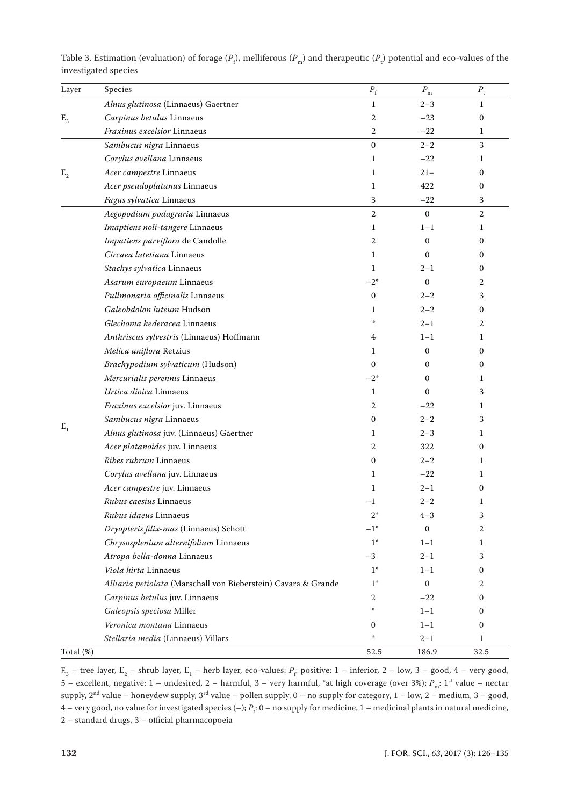| Layer                       | Species                                                        | $P_{\rm f}$       | $P_{\rm m}$  | $P_{\rm t}$    |
|-----------------------------|----------------------------------------------------------------|-------------------|--------------|----------------|
| $E_{3}$<br>$\mathbf{E}_{2}$ | Alnus glutinosa (Linnaeus) Gaertner                            | $\mathbf{1}$      | $2 - 3$      | $\mathbf{1}$   |
|                             | Carpinus betulus Linnaeus                                      | 2                 | $-23$        | $\mathbf{0}$   |
|                             | Fraxinus excelsior Linnaeus                                    | $\boldsymbol{2}$  | $-22$        | 1              |
|                             | Sambucus nigra Linnaeus                                        | $\boldsymbol{0}$  | $2 - 2$      | 3              |
|                             | Corylus avellana Linnaeus                                      | 1                 | $-22$        | 1              |
|                             | Acer campestre Linnaeus                                        | 1                 | $21 -$       | $\mathbf{0}$   |
|                             | Acer pseudoplatanus Linnaeus                                   | 1                 | 422          | 0              |
|                             | Fagus sylvatica Linnaeus                                       | 3                 | $-22$        | 3              |
|                             | Aegopodium podagraria Linnaeus                                 | $\overline{2}$    | $\mathbf{0}$ | $\overline{2}$ |
|                             | Imaptiens noli-tangere Linnaeus                                | 1                 | $1 - 1$      | 1              |
|                             | Impatiens parviflora de Candolle                               | 2                 | $\mathbf{0}$ | $\mathbf{0}$   |
|                             | Circaea lutetiana Linnaeus                                     | 1                 | $\Omega$     | 0              |
|                             | Stachys sylvatica Linnaeus                                     | $\mathbf{1}$      | $2 - 1$      | $\mathbf{0}$   |
|                             | Asarum europaeum Linnaeus                                      | $-2^{*}$          | $\Omega$     | 2              |
|                             | Pullmonaria officinalis Linnaeus                               | $\mathbf{0}$      | $2 - 2$      | 3              |
|                             | Galeobdolon luteum Hudson                                      | 1                 | $2 - 2$      | 0              |
|                             | Glechoma hederacea Linnaeus                                    |                   | $2 - 1$      | 2              |
|                             | Anthriscus sylvestris (Linnaeus) Hoffmann                      | 4                 | $1 - 1$      | 1              |
| $E_1$                       | Melica uniflora Retzius                                        | 1                 | $\mathbf{0}$ | $\mathbf{0}$   |
|                             | Brachypodium sylvaticum (Hudson)                               | $\mathbf{0}$      | $\mathbf{0}$ | 0              |
|                             | Mercurialis perennis Linnaeus                                  | $-2^{*}$          | $\mathbf{0}$ | 1              |
|                             | Urtica dioica Linnaeus                                         | $\mathbf{1}$      | $\Omega$     | 3              |
|                             | Fraxinus excelsior juv. Linnaeus                               | 2                 | $-22$        | 1              |
|                             | Sambucus nigra Linnaeus                                        | $\boldsymbol{0}$  | $2 - 2$      | 3              |
|                             | Alnus glutinosa juv. (Linnaeus) Gaertner                       | 1                 | $2 - 3$      | 1              |
|                             | Acer platanoides juv. Linnaeus                                 | 2                 | 322          | $\mathbf{0}$   |
|                             | Ribes rubrum Linnaeus                                          | $\boldsymbol{0}$  | $2 - 2$      | 1              |
|                             | Corylus avellana juv. Linnaeus                                 | 1                 | $-22$        | 1              |
|                             | Acer campestre juv. Linnaeus                                   | 1                 | $2 - 1$      | 0              |
|                             | <i>Rubus caesius</i> Linnaeus                                  | $^{-1}$           | $2 - 2$      | 1              |
|                             | Rubus idaeus Linnaeus                                          | $2^*$             | $4 - 3$      | 3              |
|                             | Dryopteris filix-mas (Linnaeus) Schott                         | $-1$ <sup>*</sup> | $\mathbf{0}$ | 2              |
|                             | Chrysosplenium alternifolium Linnaeus                          | $1*$              | $1 - 1$      | 1              |
|                             | Atropa bella-donna Linnaeus                                    | $-3$              | $2 - 1$      | 3              |
|                             | Viola hirta Linnaeus                                           | $1*$              | $1 - 1$      | 0              |
|                             | Alliaria petiolata (Marschall von Bieberstein) Cavara & Grande | $1*$              | $\mathbf{0}$ | 2              |
|                             | Carpinus betulus juv. Linnaeus                                 | 2                 | $-22$        | $\mathbf{0}$   |
|                             | Galeopsis speciosa Miller                                      | $\frac{1}{2}$     | $1 - 1$      | $\mathbf{0}$   |
|                             | Veronica montana Linnaeus                                      | $\mathbf{0}$      | $1 - 1$      | $\mathbf{0}$   |
|                             | Stellaria media (Linnaeus) Villars                             | $\frac{1}{2}$     | $2 - 1$      | $\mathbf{1}$   |
| Total (%)                   |                                                                | 52.5              | 186.9        | 32.5           |

Table 3. Estimation (evaluation) of forage  $(P_\rho)$ , melliferous  $(P_m)$  and therapeutic  $(P_t)$  potential and eco-values of the investigated species

 $E_3$  – tree layer,  $E_2$  – shrub layer,  $E_1$  – herb layer, eco-values:  $P_f$ : positive: 1 – inferior, 2 – low, 3 – good, 4 – very good, 5 – excellent, negative: 1 – undesired, 2 – harmful, 3 – very harmful, \*at high coverage (over 3%); P<sub>m</sub>: 1<sup>st</sup> value – nectar supply,  $2^{nd}$  value – honeydew supply,  $3^{rd}$  value – pollen supply,  $0$  – no supply for category,  $1$  – low,  $2$  – medium,  $3$  – good, 4 – very good, no value for investigated species (–);  $P_t$ : 0 – no supply for medicine, 1 – medicinal plants in natural medicine, 2 – standard drugs, 3 – official pharmacopoeia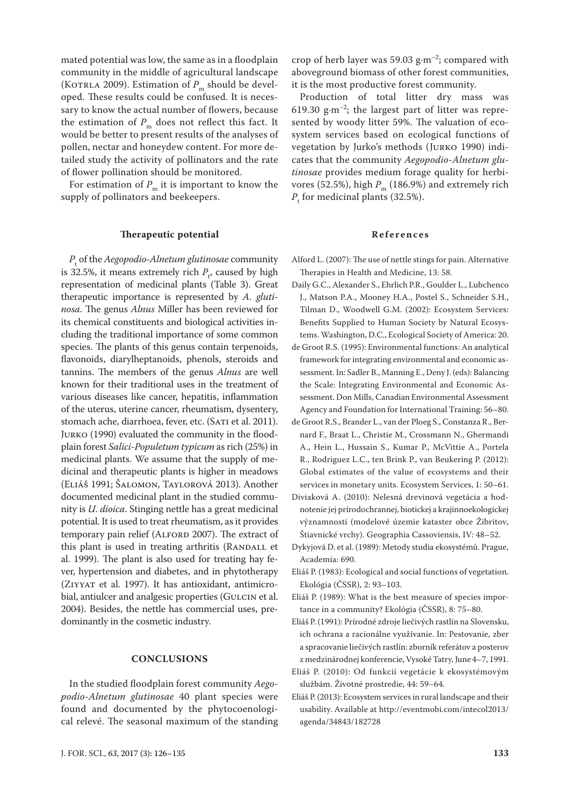mated potential was low, the same as in a floodplain community in the middle of agricultural landscape (KOTRLA 2009). Estimation of  $P_m$  should be developed. These results could be confused. It is necessary to know the actual number of flowers, because the estimation of  $P_m$  does not reflect this fact. It would be better to present results of the analyses of pollen, nectar and honeydew content. For more detailed study the activity of pollinators and the rate of flower pollination should be monitored.

For estimation of  $P_m$  it is important to know the supply of pollinators and beekeepers.

# **Therapeutic potential**

*P*t of the *Aegopodio-Alnetum glutinosae* community is 32.5%, it means extremely rich  $P_{t}$ , caused by high representation of medicinal plants (Table 3). Great therapeutic importance is represented by *A*. *glutinosa*. The genus *Alnus* Miller has been reviewed for its chemical constituents and biological activities including the traditional importance of some common species. The plants of this genus contain terpenoids, flavonoids, diarylheptanoids, phenols, steroids and tannins. The members of the genus *Alnus* are well known for their traditional uses in the treatment of various diseases like cancer, hepatitis, inflammation of the uterus, uterine cancer, rheumatism, dysentery, stomach ache, diarrhoea, fever, etc. (SATI et al. 2011). Jurko (1990) evaluated the community in the floodplain forest *Salici*-*Populetum typicum* as rich (25%) in medicinal plants. We assume that the supply of medicinal and therapeutic plants is higher in meadows (Eliáš 1991; Šalomon, Taylorová 2013). Another documented medicinal plant in the studied community is *U*. *dioica*. Stinging nettle has a great medicinal potential. It is used to treat rheumatism, as it provides temporary pain relief (ALFORD 2007). The extract of this plant is used in treating arthritis (RANDALL et al. 1999). The plant is also used for treating hay fever, hypertension and diabetes, and in phytotherapy (Ziyyat et al. 1997). It has antioxidant, antimicrobial, antiulcer and analgesic properties (GULCIN et al. 2004). Besides, the nettle has commercial uses, predominantly in the cosmetic industry.

## **CONCLUSIONS**

In the studied floodplain forest community *Aegopodio*-*Alnetum glutinosae* 40 plant species were found and documented by the phytocoenological relevé. The seasonal maximum of the standing

crop of herb layer was 59.03  $g·m<sup>-2</sup>$ ; compared with aboveground biomass of other forest communities, it is the most productive forest community.

Production of total litter dry mass was 619.30 g $\cdot$ m<sup>-2</sup>; the largest part of litter was represented by woody litter 59%. The valuation of ecosystem services based on ecological functions of vegetation by Jurko's methods (Jurko 1990) indicates that the community *Aegopodio*-*Alnetum glutinosae* provides medium forage quality for herbivores (52.5%), high  $P_m$  (186.9%) and extremely rich  $P_{\rm t}$  for medicinal plants (32.5%).

# **References**

- Alford L. (2007): The use of nettle stings for pain. Alternative Therapies in Health and Medicine, 13: 58.
- Daily G.C., Alexander S., Ehrlich P.R., Goulder L., Lubchenco J., Matson P.A., Mooney H.A., Postel S., Schneider S.H., Tilman D., Woodwell G.M. (2002): Ecosystem Services: Benefits Supplied to Human Society by Natural Ecosystems. Washington, D.C., Ecological Society of America: 20.
- de Groot R.S. (1995): Environmental functions: An analytical framework for integrating environmental and economic assessment. In: Sadler B., Manning E., Deny J. (eds): Balancing the Scale: Integrating Environmental and Economic Assessment. Don Mills, Canadian Environmental Assessment Agency and Foundation for International Training: 56–80.
- de Groot R.S., Brander L., van der Ploeg S., Constanza R., Bernard F., Braat L., Christie M., Crossmann N., Ghermandi A., Hein L., Hussain S., Kumar P., McVittie A., Portela R., Rodriguez L.C., ten Brink P., van Beukering P. (2012): Global estimates of the value of ecosystems and their services in monetary units. Ecosystem Services, 1: 50-61.
- Diviaková A. (2010): Nelesná drevinová vegetácia a hodnotenie jej prírodochrannej, biotickej a krajinnoekologickej významnosti (modelové územie kataster obce Žibritov, Štiavnické vrchy). Geographia Cassoviensis, IV: 48–52.
- Dykyjová D. et al. (1989): Metody studia ekosystémů. Prague, Academia: 690.
- Eliáš P. (1983): Ecological and social functions of vegetation. Ekológia (ČSSR), 2: 93–103.
- Eliáš P. (1989): What is the best measure of species importance in a community? Ekológia (ČSSR), 8: 75–80.
- Eliáš P. (1991): Prírodné zdroje liečivých rastlín na Slovensku, ich ochrana a racionálne využívanie. In: Pestovanie, zber a spracovanie liečivých rastlín: zborník referátov a posterov z medzinárodnej konferencie, Vysoké Tatry, June 4–7, 1991.
- Eliáš P. (2010): Od funkcií vegetácie k ekosystémovým službám. Životné prostredie, 44: 59–64.
- Eliáš P. (2013): Ecosystem services in rural landscape and their usability. Available at http://eventmobi.com/intecol2013/ agenda/34843/182728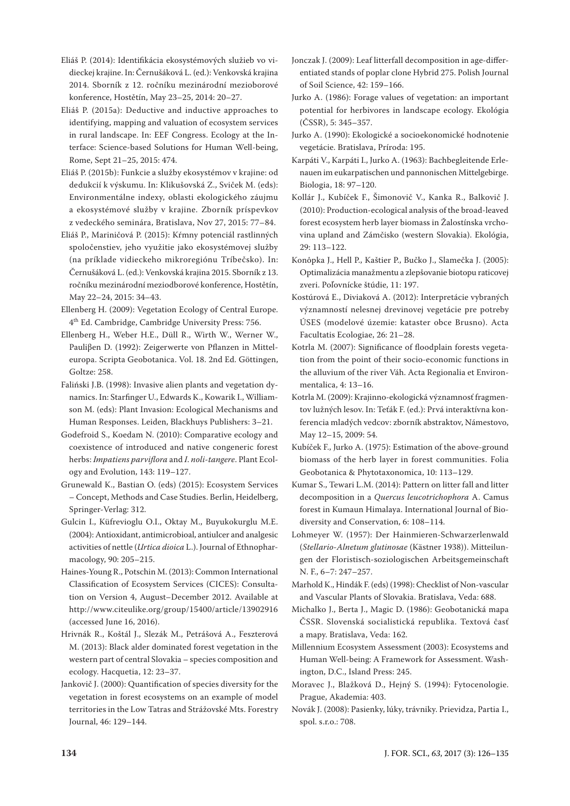- Eliáš P. (2014): Identifikácia ekosystémových služieb vo vidieckej krajine. In: Černušáková L. (ed.): Venkovská krajina 2014. Sborník z 12. ročníku mezinárodní mezioborové konference, Hostětín, May 23–25, 2014: 20–27.
- Eliáš P. (2015a): Deductive and inductive approaches to identifying, mapping and valuation of ecosystem services in rural landscape. In: EEF Congress. Ecology at the Interface: Science-based Solutions for Human Well-being, Rome, Sept 21–25, 2015: 474.
- Eliáš P. (2015b): Funkcie a služby ekosystémov v krajine: od dedukcií k výskumu. In: Klikušovská Z., Sviček M. (eds): Environmentálne indexy, oblasti ekologického záujmu a ekosystémové služby v krajine. Zborník príspevkov z vedeckého seminára, Bratislava, Nov 27, 2015: 77–84.
- Eliáš P., Mariničová P. (2015): Kŕmny potenciál rastlinných spoločenstiev, jeho využitie jako ekosystémovej služby (na príklade vidieckeho mikroregiónu Tríbečsko). In: Černušáková L. (ed.): Venkovská krajina 2015. Sborník z 13. ročníku mezinárodní meziodborové konference, Hostětín, May 22–24, 2015: 34–43.
- Ellenberg H. (2009): Vegetation Ecology of Central Europe. 4th Ed. Cambridge, Cambridge University Press: 756.
- Ellenberg H., Weber H.E., Düll R., Wirth W., Werner W., Pauliβen D. (1992): Zeigerwerte von Pflanzen in Mitteleuropa. Scripta Geobotanica. Vol. 18. 2nd Ed. Göttingen, Goltze: 258.
- Faliński J.B. (1998): Invasive alien plants and vegetation dynamics. In: Starfinger U., Edwards K., Kowarik I., Williamson M. (eds): Plant Invasion: Ecological Mechanisms and Human Responses. Leiden, Blackhuys Publishers: 3–21.
- Godefroid S., Koedam N. (2010): Comparative ecology and coexistence of introduced and native congeneric forest herbs: *Impatiens parviflora* and *I*. *noli*-*tangere*. Plant Ecology and Evolution, 143: 119–127.
- Grunewald K., Bastian O. (eds) (2015): Ecosystem Services – Concept, Methods and Case Studies. Berlin, Heidelberg, Springer-Verlag: 312.
- Gulcin I., Küfrevioglu O.I., Oktay M., Buyukokurglu M.E. (2004): Antioxidant, antimicrobioal, antiulcer and analgesic activities of nettle (*Urtica dioica* L.). Journal of Ethnopharmacology, 90: 205–215.
- Haines-Young R., Potschin M. (2013): Common International Classification of Ecosystem Services (CICES): Consultation on Version 4, August–December 2012. Available at http://www.citeulike.org/group/15400/article/13902916 (accessed June 16, 2016).
- Hrivnák R., Koštál J., Slezák M., Petrášová A., Feszterová M. (2013): Black alder dominated forest vegetation in the western part of central Slovakia – species composition and ecology. Hacquetia, 12: 23–37.
- Jankovič J. (2000): Quantification of species diversity for the vegetation in forest ecosystems on an example of model territories in the Low Tatras and Strážovské Mts. Forestry Journal, 46: 129–144.
- Jonczak J. (2009): Leaf litterfall decomposition in age-differentiated stands of poplar clone Hybrid 275. Polish Journal of Soil Science, 42: 159–166.
- Jurko A. (1986): Forage values of vegetation: an important potential for herbivores in landscape ecology. Ekológia (ČSSR), 5: 345–357.
- Jurko A. (1990): Ekologické a socioekonomické hodnotenie vegetácie. Bratislava, Príroda: 195.
- Karpáti V., Karpáti I., Jurko A. (1963): Bachbegleitende Erlenauen im eukarpatischen und pannonischen Mittelgebirge. Biologia, 18: 97–120.
- Kollár J., Kubíček F., Šimonovič V., Kanka R., Balkovič J. (2010): Production-ecological analysis of the broad-leaved forest ecosystem herb layer biomass in Žalostínska vrchovina upland and Zámčisko (western Slovakia). Ekológia, 29: 113–122.
- Konôpka J., Hell P., Kaštier P., Bučko J., Slamečka J. (2005): Optimalizácia manažmentu a zlepšovanie biotopu raticovej zveri. Poľovnícke štúdie, 11: 197.
- Kostúrová E., Diviaková A. (2012): Interpretácie vybraných významností nelesnej drevinovej vegetácie pre potreby ÚSES (modelové územie: kataster obce Brusno). Acta Facultatis Ecologiae, 26: 21–28.
- Kotrla M. (2007): Significance of floodplain forests vegetation from the point of their socio-economic functions in the alluvium of the river Váh. Acta Regionalia et Environmentalica, 4: 13–16.
- Kotrla M. (2009): Krajinno-ekologická významnosť fragmentov lužných lesov. In: Teťák F. (ed.): Prvá interaktívna konferencia mladých vedcov: zborník abstraktov, Námestovo, May 12–15, 2009: 54.
- Kubíček F., Jurko A. (1975): Estimation of the above-ground biomass of the herb layer in forest communities. Folia Geobotanica & Phytotaxonomica, 10: 113–129.
- Kumar S., Tewari L.M. (2014): Pattern on litter fall and litter decomposition in a *Quercus leucotrichophora* A. Camus forest in Kumaun Himalaya. International Journal of Biodiversity and Conservation, 6: 108–114.
- Lohmeyer W. (1957): Der Hainmieren-Schwarzerlenwald (*Stellario*-*Alnetum glutinosae* (Kästner 1938)). Mitteilungen der Floristisch-soziologischen Arbeitsgemeinschaft N. F., 6–7: 247–257.
- Marhold K., Hindák F. (eds) (1998): Checklist of Non-vascular and Vascular Plants of Slovakia. Bratislava, Veda: 688.
- Michalko J., Berta J., Magic D. (1986): Geobotanická mapa ČSSR. Slovenská socialistická republika. Textová časť a mapy. Bratislava, Veda: 162.
- Millennium Ecosystem Assessment (2003): Ecosystems and Human Well-being: A Framework for Assessment. Washington, D.C., Island Press: 245.
- Moravec J., Blažková D., Hejný S. (1994): Fytocenologie. Prague, Akademia: 403.
- Novák J. (2008): Pasienky, lúky, trávniky. Prievidza, Partia I., spol. s.r.o.: 708.